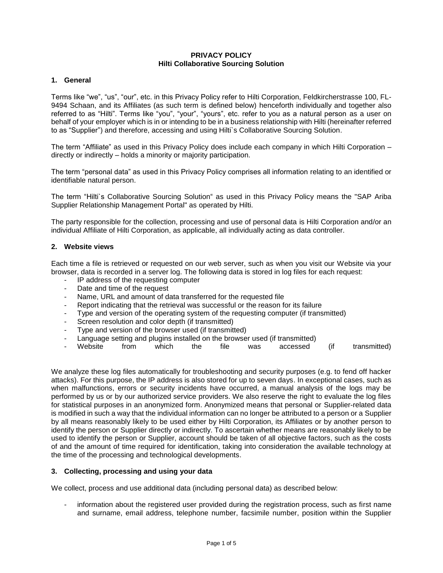#### **PRIVACY POLICY Hilti Collaborative Sourcing Solution**

### **1. General**

Terms like "we", "us", "our", etc. in this Privacy Policy refer to Hilti Corporation, Feldkircherstrasse 100, FL-9494 Schaan, and its Affiliates (as such term is defined below) henceforth individually and together also referred to as "Hilti". Terms like "you", "your", "yours", etc. refer to you as a natural person as a user on behalf of your employer which is in or intending to be in a business relationship with Hilti (hereinafter referred to as "Supplier") and therefore, accessing and using Hilti`s Collaborative Sourcing Solution.

The term "Affiliate" as used in this Privacy Policy does include each company in which Hilti Corporation – directly or indirectly – holds a minority or majority participation.

The term "personal data" as used in this Privacy Policy comprises all information relating to an identified or identifiable natural person.

The term "Hilti`s Collaborative Sourcing Solution" as used in this Privacy Policy means the "SAP Ariba Supplier Relationship Management Portal" as operated by Hilti.

The party responsible for the collection, processing and use of personal data is Hilti Corporation and/or an individual Affiliate of Hilti Corporation, as applicable, all individually acting as data controller.

#### **2. Website views**

Each time a file is retrieved or requested on our web server, such as when you visit our Website via your browser, data is recorded in a server log. The following data is stored in log files for each request:

- IP address of the requesting computer
- Date and time of the request
- Name, URL and amount of data transferred for the requested file
- Report indicating that the retrieval was successful or the reason for its failure
- Type and version of the operating system of the requesting computer (if transmitted)
- Screen resolution and color depth (if transmitted)
- Type and version of the browser used (if transmitted)
- Language setting and plugins installed on the browser used (if transmitted)
- Website from which the file was accessed (if transmitted)

We analyze these log files automatically for troubleshooting and security purposes (e.g. to fend off hacker attacks). For this purpose, the IP address is also stored for up to seven days. In exceptional cases, such as when malfunctions, errors or security incidents have occurred, a manual analysis of the logs may be performed by us or by our authorized service providers. We also reserve the right to evaluate the log files for statistical purposes in an anonymized form. Anonymized means that personal or Supplier-related data is modified in such a way that the individual information can no longer be attributed to a person or a Supplier by all means reasonably likely to be used either by Hilti Corporation, its Affiliates or by another person to identify the person or Supplier directly or indirectly. To ascertain whether means are reasonably likely to be used to identify the person or Supplier, account should be taken of all objective factors, such as the costs of and the amount of time required for identification, taking into consideration the available technology at the time of the processing and technological developments.

#### **3. Collecting, processing and using your data**

We collect, process and use additional data (including personal data) as described below:

information about the registered user provided during the registration process, such as first name and surname, email address, telephone number, facsimile number, position within the Supplier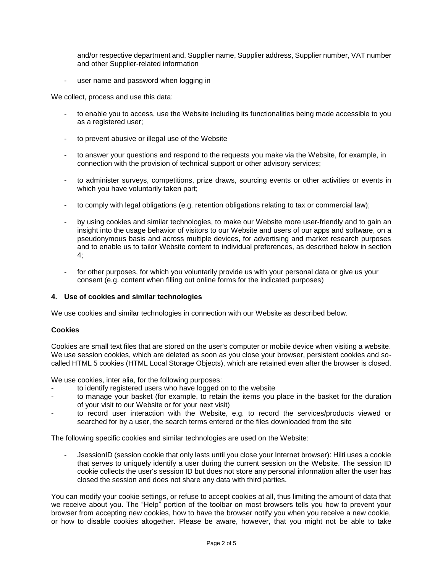and/or respective department and, Supplier name, Supplier address, Supplier number, VAT number and other Supplier-related information

user name and password when logging in

We collect, process and use this data:

- to enable you to access, use the Website including its functionalities being made accessible to you as a registered user;
- to prevent abusive or illegal use of the Website
- to answer your questions and respond to the requests you make via the Website, for example, in connection with the provision of technical support or other advisory services;
- to administer surveys, competitions, prize draws, sourcing events or other activities or events in which you have voluntarily taken part;
- to comply with legal obligations (e.g. retention obligations relating to tax or commercial law);
- by using cookies and similar technologies, to make our Website more user-friendly and to gain an insight into the usage behavior of visitors to our Website and users of our apps and software, on a pseudonymous basis and across multiple devices, for advertising and market research purposes and to enable us to tailor Website content to individual preferences, as described below in section 4;
- for other purposes, for which you voluntarily provide us with your personal data or give us your consent (e.g. content when filling out online forms for the indicated purposes)

### **4. Use of cookies and similar technologies**

We use cookies and similar technologies in connection with our Website as described below.

### **Cookies**

Cookies are small text files that are stored on the user's computer or mobile device when visiting a website. We use session cookies, which are deleted as soon as you close your browser, persistent cookies and socalled HTML 5 cookies (HTML Local Storage Objects), which are retained even after the browser is closed.

We use cookies, inter alia, for the following purposes:

- to identify registered users who have logged on to the website
- to manage your basket (for example, to retain the items you place in the basket for the duration of your visit to our Website or for your next visit)
- to record user interaction with the Website, e.g. to record the services/products viewed or searched for by a user, the search terms entered or the files downloaded from the site

The following specific cookies and similar technologies are used on the Website:

- JsessionID (session cookie that only lasts until you close your Internet browser): Hilti uses a cookie that serves to uniquely identify a user during the current session on the Website. The session ID cookie collects the user's session ID but does not store any personal information after the user has closed the session and does not share any data with third parties.

You can modify your cookie settings, or refuse to accept cookies at all, thus limiting the amount of data that we receive about you. The "Help" portion of the toolbar on most browsers tells you how to prevent your browser from accepting new cookies, how to have the browser notify you when you receive a new cookie, or how to disable cookies altogether. Please be aware, however, that you might not be able to take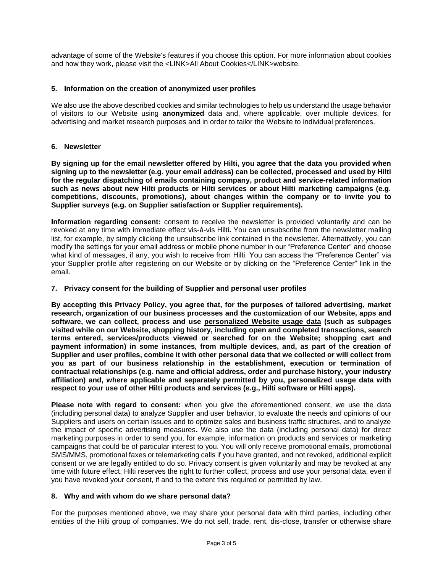advantage of some of the Website's features if you choose this option. For more information about cookies and how they work, please visit the <LINK>All About Cookies</LINK>website.

### **5. Information on the creation of anonymized user profiles**

We also use the above described cookies and similar technologies to help us understand the usage behavior of visitors to our Website using **anonymized** data and, where applicable, over multiple devices, for advertising and market research purposes and in order to tailor the Website to individual preferences.

## **6. Newsletter**

**By signing up for the email newsletter offered by Hilti, you agree that the data you provided when signing up to the newsletter (e.g. your email address) can be collected, processed and used by Hilti for the regular dispatching of emails containing company, product and service-related information such as news about new Hilti products or Hilti services or about Hilti marketing campaigns (e.g. competitions, discounts, promotions), about changes within the company or to invite you to Supplier surveys (e.g. on Supplier satisfaction or Supplier requirements).** 

**Information regarding consent:** consent to receive the newsletter is provided voluntarily and can be revoked at any time with immediate effect vis-à-vis Hilti**.** You can unsubscribe from the newsletter mailing list, for example, by simply clicking the unsubscribe link contained in the newsletter. Alternatively, you can modify the settings for your email address or mobile phone number in our "Preference Center" and choose what kind of messages, if any, you wish to receive from Hilti. You can access the "Preference Center" via your Supplier profile after registering on our Website or by clicking on the "Preference Center" link in the email.

## **7. Privacy consent for the building of Supplier and personal user profiles**

**By accepting this Privacy Policy, you agree that, for the purposes of tailored advertising, market research, organization of our business processes and the customization of our Website, apps and software, we can collect, process and use personalized Website usage data (such as subpages visited while on our Website, shopping history, including open and completed transactions, search terms entered, services/products viewed or searched for on the Website; shopping cart and payment information) in some instances, from multiple devices, and, as part of the creation of Supplier and user profiles, combine it with other personal data that we collected or will collect from you as part of our business relationship in the establishment, execution or termination of contractual relationships (e.g. name and official address, order and purchase history, your industry affiliation) and, where applicable and separately permitted by you, personalized usage data with respect to your use of other Hilti products and services (e.g., Hilti software or Hilti apps).** 

**Please note with regard to consent:** when you give the aforementioned consent, we use the data (including personal data) to analyze Supplier and user behavior, to evaluate the needs and opinions of our Suppliers and users on certain issues and to optimize sales and business traffic structures, and to analyze the impact of specific advertising measures**.** We also use the data (including personal data) for direct marketing purposes in order to send you, for example, information on products and services or marketing campaigns that could be of particular interest to you. You will only receive promotional emails, promotional SMS/MMS, promotional faxes or telemarketing calls if you have granted, and not revoked, additional explicit consent or we are legally entitled to do so. Privacy consent is given voluntarily and may be revoked at any time with future effect. Hilti reserves the right to further collect, process and use your personal data, even if you have revoked your consent, if and to the extent this required or permitted by law.

### **8. Why and with whom do we share personal data?**

For the purposes mentioned above, we may share your personal data with third parties, including other entities of the Hilti group of companies. We do not sell, trade, rent, dis-close, transfer or otherwise share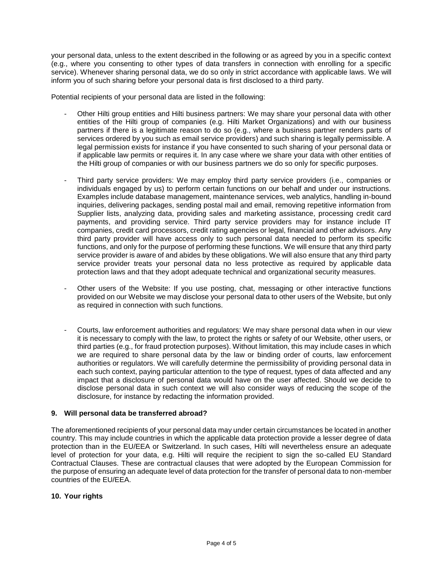your personal data, unless to the extent described in the following or as agreed by you in a specific context (e.g., where you consenting to other types of data transfers in connection with enrolling for a specific service). Whenever sharing personal data, we do so only in strict accordance with applicable laws. We will inform you of such sharing before your personal data is first disclosed to a third party.

Potential recipients of your personal data are listed in the following:

- Other Hilti group entities and Hilti business partners: We may share your personal data with other entities of the Hilti group of companies (e.g. Hilti Market Organizations) and with our business partners if there is a legitimate reason to do so (e.g., where a business partner renders parts of services ordered by you such as email service providers) and such sharing is legally permissible. A legal permission exists for instance if you have consented to such sharing of your personal data or if applicable law permits or requires it. In any case where we share your data with other entities of the Hilti group of companies or with our business partners we do so only for specific purposes.
- Third party service providers: We may employ third party service providers (i.e., companies or individuals engaged by us) to perform certain functions on our behalf and under our instructions. Examples include database management, maintenance services, web analytics, handling in-bound inquiries, delivering packages, sending postal mail and email, removing repetitive information from Supplier lists, analyzing data, providing sales and marketing assistance, processing credit card payments, and providing service. Third party service providers may for instance include IT companies, credit card processors, credit rating agencies or legal, financial and other advisors. Any third party provider will have access only to such personal data needed to perform its specific functions, and only for the purpose of performing these functions. We will ensure that any third party service provider is aware of and abides by these obligations. We will also ensure that any third party service provider treats your personal data no less protective as required by applicable data protection laws and that they adopt adequate technical and organizational security measures.
- Other users of the Website: If you use posting, chat, messaging or other interactive functions provided on our Website we may disclose your personal data to other users of the Website, but only as required in connection with such functions.
- Courts, law enforcement authorities and regulators: We may share personal data when in our view it is necessary to comply with the law, to protect the rights or safety of our Website, other users, or third parties (e.g., for fraud protection purposes). Without limitation, this may include cases in which we are required to share personal data by the law or binding order of courts, law enforcement authorities or regulators. We will carefully determine the permissibility of providing personal data in each such context, paying particular attention to the type of request, types of data affected and any impact that a disclosure of personal data would have on the user affected. Should we decide to disclose personal data in such context we will also consider ways of reducing the scope of the disclosure, for instance by redacting the information provided.

### **9. Will personal data be transferred abroad?**

The aforementioned recipients of your personal data may under certain circumstances be located in another country. This may include countries in which the applicable data protection provide a lesser degree of data protection than in the EU/EEA or Switzerland. In such cases, Hilti will nevertheless ensure an adequate level of protection for your data, e.g. Hilti will require the recipient to sign the so-called EU Standard Contractual Clauses. These are contractual clauses that were adopted by the European Commission for the purpose of ensuring an adequate level of data protection for the transfer of personal data to non-member countries of the EU/EEA.

# **10. Your rights**